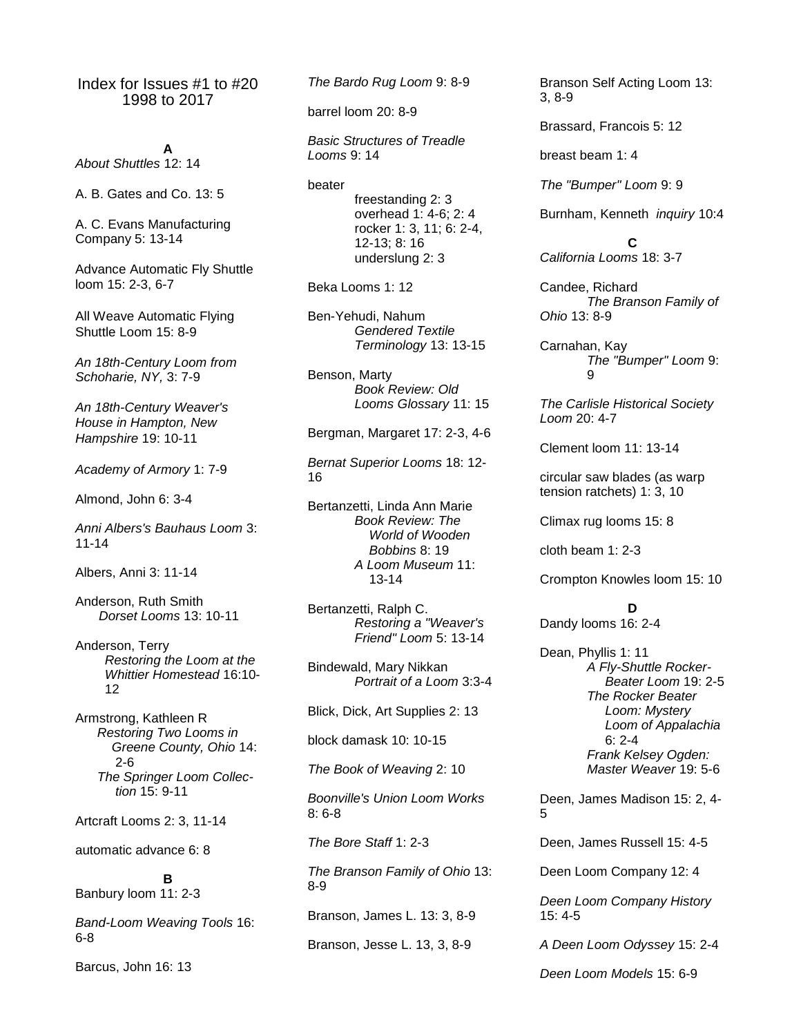Index for Issues #1 to #20 1998 to 2017

**A** *About Shuttles* 12: 14

A. B. Gates and Co. 13: 5

A. C. Evans Manufacturing Company 5: 13-14

Advance Automatic Fly Shuttle loom 15: 2-3, 6-7

All Weave Automatic Flying Shuttle Loom 15: 8-9

*An 18th-Century Loom from Schoharie, NY,* 3: 7-9

*An 18th-Century Weaver's House in Hampton, New Hampshire* 19: 10-11

*Academy of Armory* 1: 7-9

Almond, John 6: 3-4

*Anni Albers's Bauhaus Loom* 3: 11-14

Albers, Anni 3: 11-14

Anderson, Ruth Smith *Dorset Looms* 13: 10-11

Anderson, Terry *Restoring the Loom at the Whittier Homestead* 16:10-  $12$ 

Armstrong, Kathleen R *Restoring Two Looms in Greene County, Ohio* 14: 2-6 *The Springer Loom Collec tion* 15: 9-11

Artcraft Looms 2: 3, 11-14

automatic advance 6: 8

**B** Banbury loom 11: 2-3

*Band-Loom Weaving Tools* 16: 6-8

Barcus, John 16: 13

*The Bardo Rug Loom* 9: 8-9

barrel loom 20: 8-9

*Basic Structures of Treadle Looms* 9: 14

beater

freestanding 2: 3 overhead 1: 4-6; 2: 4 rocker 1: 3, 11; 6: 2-4, 12-13; 8: 16 underslung 2: 3

Beka Looms 1: 12

Ben-Yehudi, Nahum *Gendered Textile Terminology* 13: 13-15

Benson, Marty *Book Review: Old Looms Glossary* 11: 15

Bergman, Margaret 17: 2-3, 4-6

*Bernat Superior Looms* 18: 12- 16

Bertanzetti, Linda Ann Marie *Book Review: The World of Wooden Bobbins* 8: 19 *A Loom Museum* 11: 13-14

Bertanzetti, Ralph C. *Restoring a "Weaver's Friend" Loom* 5: 13-14

Bindewald, Mary Nikkan *Portrait of a Loom* 3:3-4

Blick, Dick, Art Supplies 2: 13

block damask 10: 10-15

*The Book of Weaving* 2: 10

*Boonville's Union Loom Works*  8: 6-8

*The Bore Staff* 1: 2-3

*The Branson Family of Ohio* 13: 8-9

Branson, James L. 13: 3, 8-9

Branson, Jesse L. 13, 3, 8-9

Branson Self Acting Loom 13: 3, 8-9

Brassard, Francois 5: 12

breast beam 1: 4

*The "Bumper" Loom* 9: 9

Burnham, Kenneth *inquiry* 10:4

**C** *California Looms* 18: 3-7

Candee, Richard *The Branson Family of Ohio* 13: 8-9

Carnahan, Kay *The "Bumper" Loom* 9: 9

*The Carlisle Historical Society Loom* 20: 4-7

Clement loom 11: 13-14

circular saw blades (as warp tension ratchets) 1: 3, 10

Climax rug looms 15: 8

cloth beam 1: 2-3

Crompton Knowles loom 15: 10

**D**

Dandy looms 16: 2-4

Dean, Phyllis 1: 11 *A Fly-Shuttle Rocker- Beater Loom* 19: 2-5 *The Rocker Beater Loom: Mystery Loom of Appalachia* 6: 2-4 *Frank Kelsey Ogden: Master Weaver* 19: 5-6

Deen, James Madison 15: 2, 4- 5

Deen, James Russell 15: 4-5

Deen Loom Company 12: 4

*Deen Loom Company History*  15: 4-5

*A Deen Loom Odyssey* 15: 2-4

*Deen Loom Models* 15: 6-9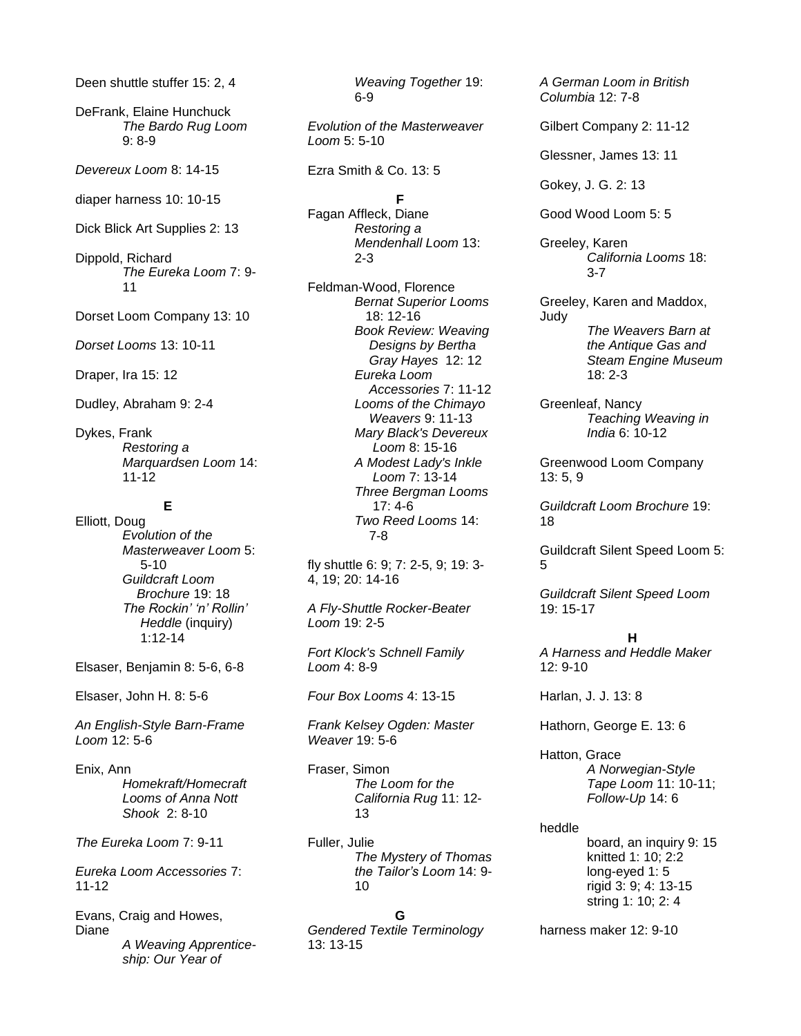Deen shuttle stuffer 15: 2, 4

DeFrank, Elaine Hunchuck *The Bardo Rug Loom*  9: 8-9

*Devereux Loom* 8: 14-15

diaper harness 10: 10-15

Dick Blick Art Supplies 2: 13

Dippold, Richard *The Eureka Loom* 7: 9- 11

Dorset Loom Company 13: 10

*Dorset Looms* 13: 10-11

Draper, Ira 15: 12

Dudley, Abraham 9: 2-4

Dykes, Frank *Restoring a Marquardsen Loom* 14: 11-12

# **E**

Elliott, Doug *Evolution of the Masterweaver Loom* 5: 5-10 *Guildcraft Loom Brochure* 19: 18 *The Rockin' 'n' Rollin' Heddle* (inquiry) 1:12-14

Elsaser, Benjamin 8: 5-6, 6-8

Elsaser, John H. 8: 5-6

*An English-Style Barn-Frame Loom* 12: 5-6

Enix, Ann *Homekraft/Homecraft Looms of Anna Nott Shook* 2: 8-10

*The Eureka Loom* 7: 9-11

*Eureka Loom Accessories* 7: 11-12

Evans, Craig and Howes, Diane *A Weaving Apprenticeship: Our Year of* 

*Weaving Together* 19: 6-9

*Evolution of the Masterweaver Loom* 5: 5-10

Ezra Smith & Co. 13: 5

#### **F**

Fagan Affleck, Diane *Restoring a Mendenhall Loom* 13: 2-3

Feldman-Wood, Florence *Bernat Superior Looms* 18: 12-16 *Book Review: Weaving Designs by Bertha Gray Hayes* 12: 12 *Eureka Loom Accessories* 7: 11-12 *Looms of the Chimayo Weavers* 9: 11-13 *Mary Black's Devereux Loom* 8: 15-16 *A Modest Lady's Inkle Loom* 7: 13-14 *Three Bergman Looms* 17: 4-6 *Two Reed Looms* 14: 7-8

fly shuttle 6: 9; 7: 2-5, 9; 19: 3- 4, 19; 20: 14-16

*A Fly-Shuttle Rocker-Beater Loom* 19: 2-5

*Fort Klock's Schnell Family Loom* 4: 8-9

*Four Box Looms* 4: 13-15

*Frank Kelsey Ogden: Master Weaver* 19: 5-6

Fraser, Simon *The Loom for the California Rug* 11: 12- 13

Fuller, Julie *The Mystery of Thomas the Tailor's Loom* 14: 9- 10

## **G**

*Gendered Textile Terminology*  13: 13-15

*A German Loom in British Columbia* 12: 7-8

Gilbert Company 2: 11-12

Glessner, James 13: 11

Gokey, J. G. 2: 13

Good Wood Loom 5: 5

Greeley, Karen *California Looms* 18: 3-7

Greeley, Karen and Maddox, Judy *The Weavers Barn at the Antique Gas and Steam Engine Museum* 18: 2-3

Greenleaf, Nancy *Teaching Weaving in India* 6: 10-12

Greenwood Loom Company 13: 5, 9

*Guildcraft Loom Brochure* 19: 18

Guildcraft Silent Speed Loom 5: 5

*Guildcraft Silent Speed Loom*  19: 15-17

#### **H**

*A Harness and Heddle Maker*  12: 9-10

Harlan, J. J. 13: 8

Hathorn, George E. 13: 6

Hatton, Grace *A Norwegian-Style Tape Loom* 11: 10-11; *Follow-Up* 14: 6

heddle

board, an inquiry 9: 15 knitted 1: 10; 2:2 long-eyed 1: 5 rigid 3: 9; 4: 13-15 string 1: 10; 2: 4

harness maker 12: 9-10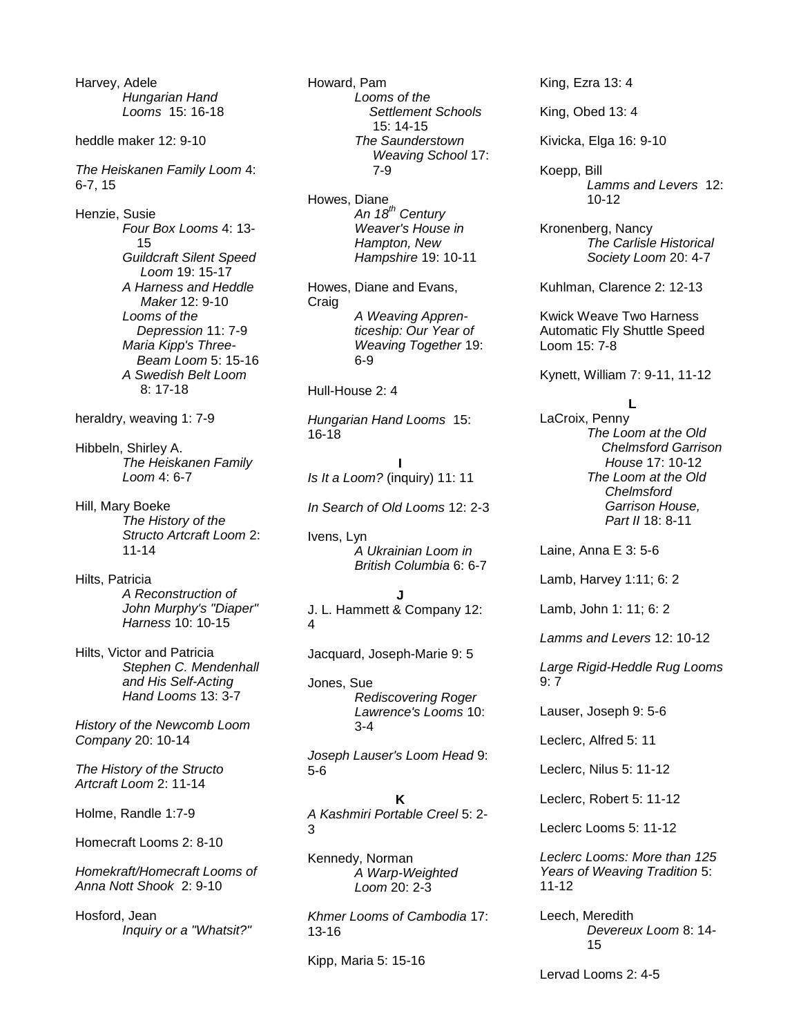Harvey, Adele *Hungarian Hand Looms* 15: 16-18

heddle maker 12: 9-10

*The Heiskanen Family Loom* 4: 6-7, 15

Henzie, Susie *Four Box Looms* 4: 13- 15 *Guildcraft Silent Speed Loom* 19: 15-17 *A Harness and Heddle Maker* 12: 9-10 *Looms of the Depression* 11: 7-9 *Maria Kipp's Three- Beam Loom* 5: 15-16 *A Swedish Belt Loom* 8: 17-18

heraldry, weaving 1: 7-9

Hibbeln, Shirley A. *The Heiskanen Family Loom* 4: 6-7

Hill, Mary Boeke *The History of the Structo Artcraft Loom* 2: 11-14

Hilts, Patricia *A Reconstruction of John Murphy's "Diaper" Harness* 10: 10-15

Hilts, Victor and Patricia *Stephen C. Mendenhall and His Self-Acting Hand Looms* 13: 3-7

*History of the Newcomb Loom Company* 20: 10-14

*The History of the Structo Artcraft Loom* 2: 11-14

Holme, Randle 1:7-9

Homecraft Looms 2: 8-10

*Homekraft/Homecraft Looms of Anna Nott Shook* 2: 9-10

Hosford, Jean *Inquiry or a "Whatsit?"* Howard, Pam *Looms of the Settlement Schools* 15: 14-15 *The Saunderstown Weaving School* 17: 7-9

Howes, Diane *An 18th Century Weaver's House in Hampton, New Hampshire* 19: 10-11

Howes, Diane and Evans, Craig *A Weaving Apprenticeship: Our Year of Weaving Together* 19: 6-9

Hull-House 2: 4

*Hungarian Hand Looms* 15: 16-18

**I** *Is It a Loom?* (inquiry) 11: 11

*In Search of Old Looms* 12: 2-3

Ivens, Lyn *A Ukrainian Loom in British Columbia* 6: 6-7

**J** J. L. Hammett & Company 12: 4

Jacquard, Joseph-Marie 9: 5

Jones, Sue *Rediscovering Roger Lawrence's Looms* 10: 3-4

*Joseph Lauser's Loom Head* 9: 5-6

**K** *A Kashmiri Portable Creel* 5: 2- 3

Kennedy, Norman *A Warp-Weighted Loom* 20: 2-3

*Khmer Looms of Cambodia* 17: 13-16

Kipp, Maria 5: 15-16

King, Ezra 13: 4

King, Obed 13: 4

Kivicka, Elga 16: 9-10

Koepp, Bill *Lamms and Levers* 12: 10-12

Kronenberg, Nancy *The Carlisle Historical Society Loom* 20: 4-7

Kuhlman, Clarence 2: 12-13

Kwick Weave Two Harness Automatic Fly Shuttle Speed Loom 15: 7-8

Kynett, William 7: 9-11, 11-12

#### **L**

LaCroix, Penny *The Loom at the Old Chelmsford Garrison House* 17: 10-12 *The Loom at the Old Chelmsford Garrison House, Part II* 18: 8-11

Laine, Anna E 3: 5-6

Lamb, Harvey 1:11; 6: 2

Lamb, John 1: 11; 6: 2

*Lamms and Levers* 12: 10-12

*Large Rigid-Heddle Rug Looms*  9: 7

Lauser, Joseph 9: 5-6

Leclerc, Alfred 5: 11

Leclerc, Nilus 5: 11-12

Leclerc, Robert 5: 11-12

Leclerc Looms 5: 11-12

*Leclerc Looms: More than 125 Years of Weaving Tradition* 5: 11-12

Leech, Meredith *Devereux Loom* 8: 14- 15

Lervad Looms 2: 4-5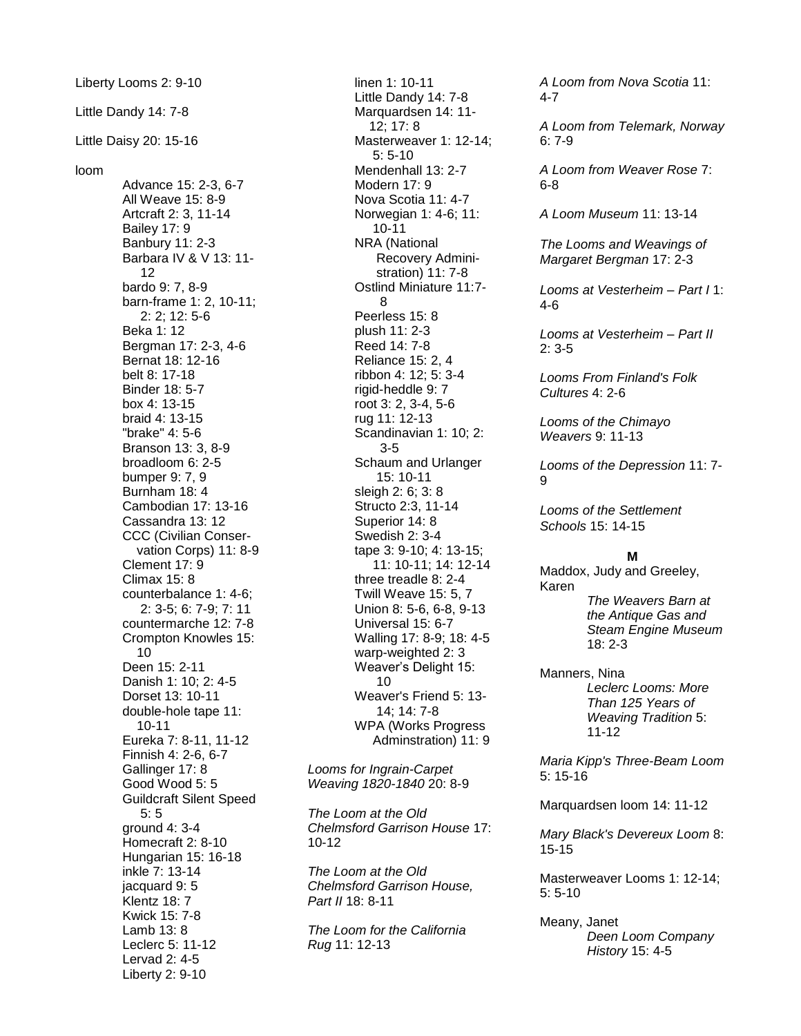Liberty Looms 2: 9-10 Little Dandy 14: 7-8 Little Daisy 20: 15-16 loom Advance 15: 2-3, 6-7 All Weave 15: 8-9 Artcraft 2: 3, 11-14 Bailey 17: 9 Banbury 11: 2-3 Barbara IV & V 13: 11- 12 bardo 9: 7, 8-9 barn-frame 1: 2, 10-11; 2: 2; 12: 5-6 Beka 1: 12 Bergman 17: 2-3, 4-6 Bernat 18: 12-16 belt 8: 17-18 Binder 18: 5-7 box 4: 13-15 braid 4: 13-15 "brake" 4: 5-6 Branson 13: 3, 8-9 broadloom 6: 2-5 bumper 9: 7, 9 Burnham 18: 4 Cambodian 17: 13-16 Cassandra 13: 12 CCC (Civilian Conser vation Corps) 11: 8-9 Clement 17: 9 Climax 15: 8 counterbalance 1: 4-6; 2: 3-5; 6: 7-9; 7: 11 countermarche 12: 7-8 Crompton Knowles 15: 10 Deen 15: 2-11 Danish 1: 10; 2: 4-5 Dorset 13: 10-11 double-hole tape 11: 10-11 Eureka 7: 8-11, 11-12 Finnish 4: 2-6, 6-7 Gallinger 17: 8 Good Wood 5: 5 Guildcraft Silent Speed 5: 5 ground 4: 3-4 Homecraft 2: 8-10 Hungarian 15: 16-18 inkle 7: 13-14 jacquard 9: 5 Klentz 18: 7 Kwick 15: 7-8 Lamb 13: 8 Leclerc 5: 11-12 Lervad 2: 4-5 Liberty 2: 9-10

linen 1: 10-11 Little Dandy 14: 7-8 Marquardsen 14: 11- 12; 17: 8 Masterweaver 1: 12-14; 5: 5-10 Mendenhall 13: 2-7 Modern 17: 9 Nova Scotia 11: 4-7 Norwegian 1: 4-6; 11: 10-11 NRA (National Recovery Admini stration) 11: 7-8 Ostlind Miniature 11:7- 8 Peerless 15: 8 plush 11: 2-3 Reed 14: 7-8 Reliance 15: 2, 4 ribbon 4: 12; 5: 3-4 rigid-heddle 9: 7 root 3: 2, 3-4, 5-6 rug 11: 12-13 Scandinavian 1: 10; 2: 3-5 Schaum and Urlanger 15: 10-11 sleigh 2: 6; 3: 8 Structo 2:3, 11-14 Superior 14: 8 Swedish 2: 3-4 tape 3: 9-10; 4: 13-15; 11: 10-11; 14: 12-14 three treadle 8: 2-4 Twill Weave 15: 5, 7 Union 8: 5-6, 6-8, 9-13 Universal 15: 6-7 Walling 17: 8-9; 18: 4-5 warp-weighted 2: 3 Weaver's Delight 15: 10 Weaver's Friend 5: 13- 14; 14: 7-8 WPA (Works Progress Adminstration) 11: 9

*Looms for Ingrain-Carpet Weaving 1820-1840* 20: 8-9

*The Loom at the Old Chelmsford Garrison House* 17: 10-12

*The Loom at the Old Chelmsford Garrison House, Part II* 18: 8-11

*The Loom for the California Rug* 11: 12-13

*A Loom from Nova Scotia* 11: 4-7

*A Loom from Telemark, Norway* 6: 7-9

*A Loom from Weaver Rose* 7: 6-8

*A Loom Museum* 11: 13-14

*The Looms and Weavings of Margaret Bergman* 17: 2-3

*Looms at Vesterheim – Part I* 1: 4-6

*Looms at Vesterheim – Part II* 2: 3-5

*Looms From Finland's Folk Cultures* 4: 2-6

*Looms of the Chimayo Weavers* 9: 11-13

*Looms of the Depression* 11: 7- 9

*Looms of the Settlement Schools* 15: 14-15

#### **M**

Maddox, Judy and Greeley, Karen *The Weavers Barn at the Antique Gas and Steam Engine Museum* 18: 2-3

Manners, Nina *Leclerc Looms: More Than 125 Years of Weaving Tradition* 5: 11-12

*Maria Kipp's Three-Beam Loom*  5: 15-16

Marquardsen loom 14: 11-12

*Mary Black's Devereux Loom* 8: 15-15

Masterweaver Looms 1: 12-14; 5: 5-10

Meany, Janet *Deen Loom Company History* 15: 4-5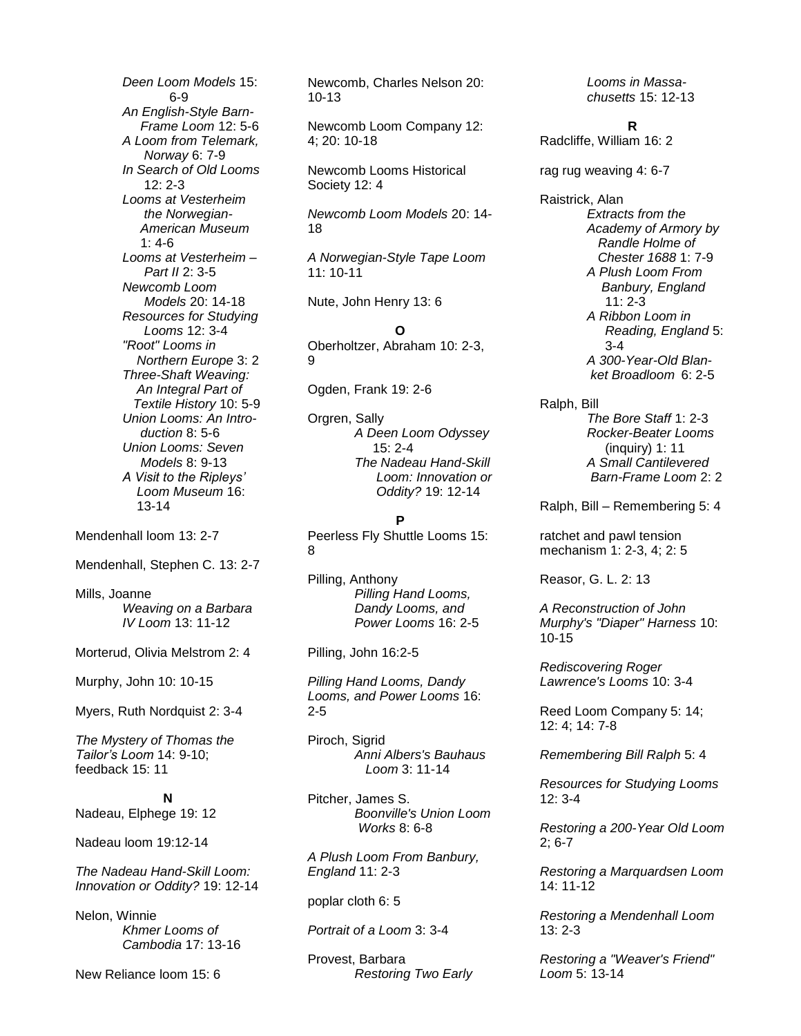*Deen Loom Models* 15: 6-9 *An English-Style Barn- Frame Loom* 12: 5-6 *A Loom from Telemark, Norway* 6: 7-9 *In Search of Old Looms*   $12: 2 - 3$ *Looms at Vesterheim the Norwegian- American Museum*   $1: 4-6$ *Looms at Vesterheim – Part II* 2: 3-5 *Newcomb Loom Models* 20: 14-18 *Resources for Studying Looms* 12: 3-4 *"Root" Looms in Northern Europe* 3: 2 *Three-Shaft Weaving: An Integral Part of Textile History* 10: 5-9 *Union Looms: An Intro duction* 8: 5-6 *Union Looms: Seven Models* 8: 9-13 *A Visit to the Ripleys' Loom Museum* 16: 13-14

Mendenhall loom 13: 2-7

Mendenhall, Stephen C. 13: 2-7

Mills, Joanne *Weaving on a Barbara IV Loom* 13: 11-12

Morterud, Olivia Melstrom 2: 4

Murphy, John 10: 10-15

Myers, Ruth Nordquist 2: 3-4

*The Mystery of Thomas the Tailor's Loom* 14: 9-10; feedback 15: 11

**N** Nadeau, Elphege 19: 12

Nadeau loom 19:12-14

*The Nadeau Hand-Skill Loom: Innovation or Oddity?* 19: 12-14

Nelon, Winnie *Khmer Looms of Cambodia* 17: 13-16

New Reliance loom 15: 6

Newcomb, Charles Nelson 20: 10-13

Newcomb Loom Company 12: 4; 20: 10-18

Newcomb Looms Historical Society 12: 4

*Newcomb Loom Models* 20: 14- 18

*A Norwegian-Style Tape Loom*  11: 10-11

Nute, John Henry 13: 6

**O** Oberholtzer, Abraham 10: 2-3, 9

Ogden, Frank 19: 2-6

Orgren, Sally *A Deen Loom Odyssey* 15: 2-4 *The Nadeau Hand-Skill Loom: Innovation or Oddity?* 19: 12-14

#### **P**

Peerless Fly Shuttle Looms 15: 8

Pilling, Anthony *Pilling Hand Looms, Dandy Looms, and Power Looms* 16: 2-5

Pilling, John 16:2-5

*Pilling Hand Looms, Dandy Looms, and Power Looms* 16: 2-5

Piroch, Sigrid *Anni Albers's Bauhaus Loom* 3: 11-14

Pitcher, James S. *Boonville's Union Loom Works* 8: 6-8

*A Plush Loom From Banbury, England* 11: 2-3

poplar cloth 6: 5

*Portrait of a Loom* 3: 3-4

Provest, Barbara *Restoring Two Early*  *Looms in Massachusetts* 15: 12-13

**R**

Radcliffe, William 16: 2

rag rug weaving 4: 6-7

Raistrick, Alan *Extracts from the Academy of Armory by Randle Holme of Chester 1688* 1: 7-9 *A Plush Loom From Banbury, England*   $11: 2 - 3$ *A Ribbon Loom in Reading, England* 5: 3-4 *A 300-Year-Old Blanket Broadloom* 6: 2-5

Ralph, Bill *The Bore Staff* 1: 2-3 *Rocker-Beater Looms* (inquiry) 1: 11 *A Small Cantilevered Barn-Frame Loom* 2: 2

Ralph, Bill – Remembering 5: 4

ratchet and pawl tension mechanism 1: 2-3, 4; 2: 5

Reasor, G. L. 2: 13

*A Reconstruction of John Murphy's "Diaper" Harness* 10: 10-15

*Rediscovering Roger Lawrence's Looms* 10: 3-4

Reed Loom Company 5: 14; 12: 4; 14: 7-8

*Remembering Bill Ralph* 5: 4

*Resources for Studying Looms* 12: 3-4

*Restoring a 200-Year Old Loom*  2; 6-7

*Restoring a Marquardsen Loom*  14: 11-12

*Restoring a Mendenhall Loom* 13: 2-3

*Restoring a "Weaver's Friend" Loom* 5: 13-14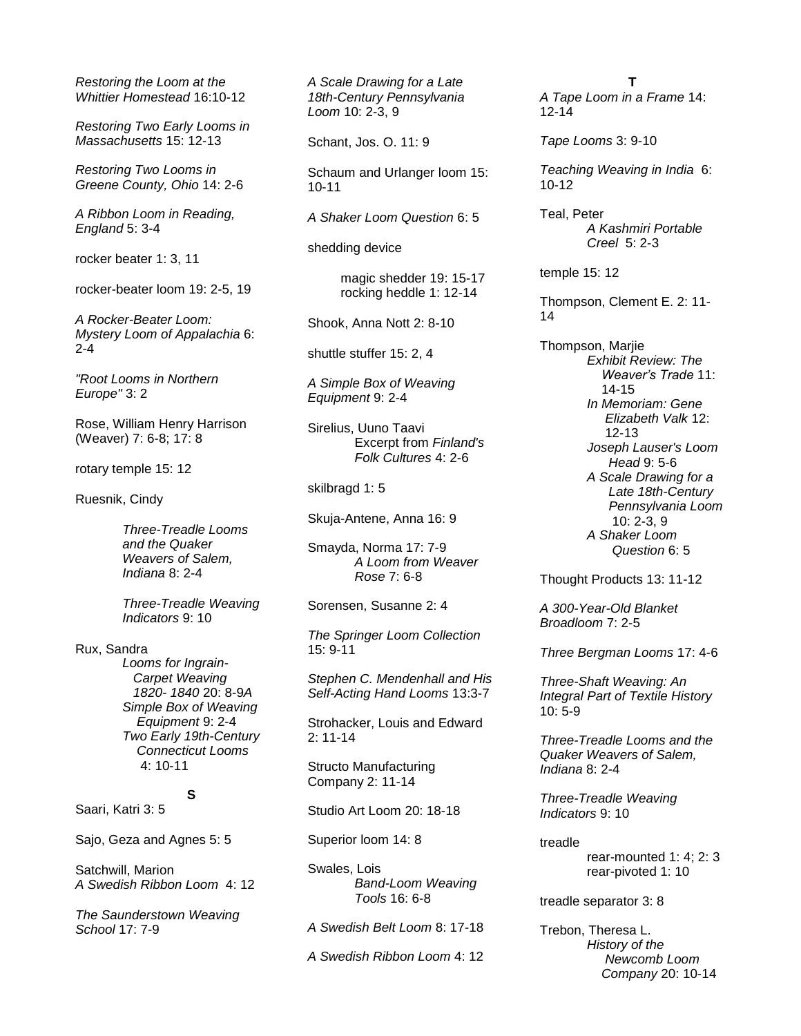*Restoring the Loom at the Whittier Homestead* 16:10-12

*Restoring Two Early Looms in Massachusetts* 15: 12-13

*Restoring Two Looms in Greene County, Ohio* 14: 2-6

*A Ribbon Loom in Reading, England* 5: 3-4

rocker beater 1: 3, 11

rocker-beater loom 19: 2-5, 19

*A Rocker-Beater Loom: Mystery Loom of Appalachia* 6: 2-4

*"Root Looms in Northern Europe"* 3: 2

Rose, William Henry Harrison (Weaver) 7: 6-8; 17: 8

rotary temple 15: 12

Ruesnik, Cindy

*Three-Treadle Looms and the Quaker Weavers of Salem, Indiana* 8: 2-4

*Three-Treadle Weaving Indicators* 9: 10

Rux, Sandra

*Looms for Ingrain- Carpet Weaving 1820- 1840* 20: 8-9*A Simple Box of Weaving Equipment* 9: 2-4 *Two Early 19th-Century Connecticut Looms* 4: 10-11

**S**

# Saari, Katri 3: 5

Sajo, Geza and Agnes 5: 5

Satchwill, Marion *A Swedish Ribbon Loom* 4: 12

*The Saunderstown Weaving School* 17: 7-9

*A Scale Drawing for a Late 18th-Century Pennsylvania Loom* 10: 2-3, 9

Schant, Jos. O. 11: 9

Schaum and Urlanger loom 15: 10-11

*A Shaker Loom Question* 6: 5

shedding device

magic shedder 19: 15-17 rocking heddle 1: 12-14

Shook, Anna Nott 2: 8-10

shuttle stuffer 15: 2, 4

*A Simple Box of Weaving Equipment* 9: 2-4

Sirelius, Uuno Taavi Excerpt from *Finland's Folk Cultures* 4: 2-6

skilbragd 1: 5

Skuja-Antene, Anna 16: 9

Smayda, Norma 17: 7-9 *A Loom from Weaver Rose* 7: 6-8

Sorensen, Susanne 2: 4

*The Springer Loom Collection*  15: 9-11

*Stephen C. Mendenhall and His Self-Acting Hand Looms* 13:3-7

Strohacker, Louis and Edward  $2: 11 - 14$ 

Structo Manufacturing Company 2: 11-14

Studio Art Loom 20: 18-18

Superior loom 14: 8

Swales, Lois *Band-Loom Weaving Tools* 16: 6-8

*A Swedish Belt Loom* 8: 17-18

*A Swedish Ribbon Loom* 4: 12

**T** *A Tape Loom in a Frame* 14: 12-14

*Tape Looms* 3: 9-10

*Teaching Weaving in India* 6: 10-12

Teal, Peter *A Kashmiri Portable Creel* 5: 2-3

temple 15: 12

Thompson, Clement E. 2: 11- 14

Thompson, Marjie *Exhibit Review: The Weaver's Trade* 11: 14-15 *In Memoriam: Gene Elizabeth Valk* 12: 12-13 *Joseph Lauser's Loom Head* 9: 5-6 *A Scale Drawing for a Late 18th-Century Pennsylvania Loom* 10: 2-3, 9 *A Shaker Loom Question* 6: 5

Thought Products 13: 11-12

*A 300-Year-Old Blanket Broadloom* 7: 2-5

*Three Bergman Looms* 17: 4-6

*Three-Shaft Weaving: An Integral Part of Textile History*  10: 5-9

*Three-Treadle Looms and the Quaker Weavers of Salem, Indiana* 8: 2-4

*Three-Treadle Weaving Indicators* 9: 10

treadle

rear-mounted 1: 4; 2: 3 rear-pivoted 1: 10

treadle separator 3: 8

Trebon, Theresa L. *History of the Newcomb Loom Company* 20: 10-14